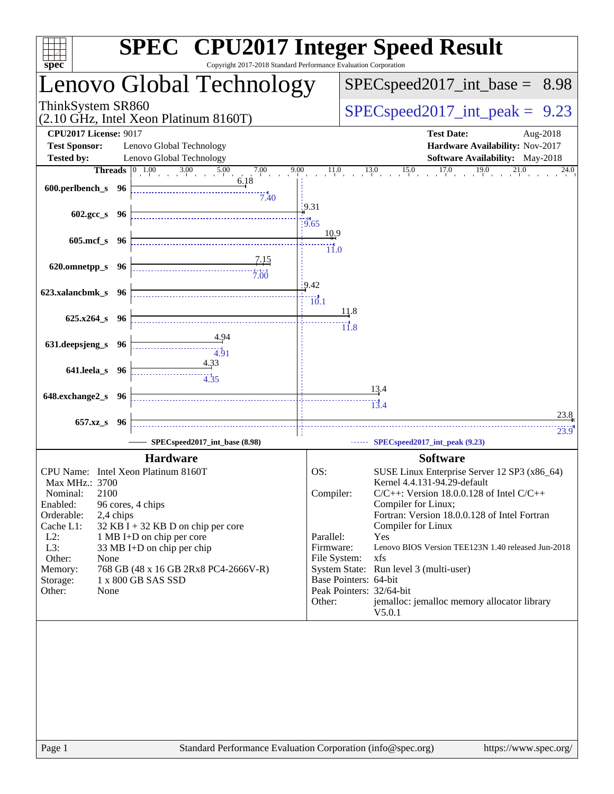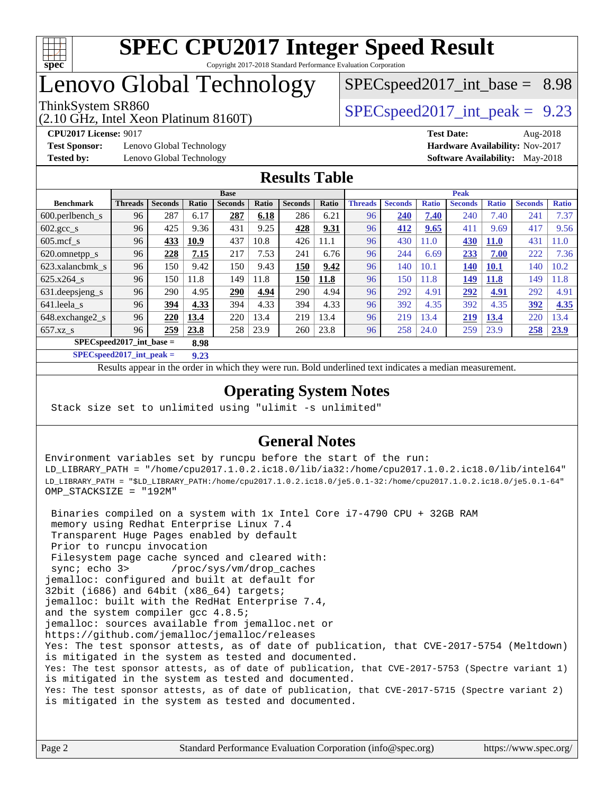

# Lenovo Global Technology

(2.10 GHz, Intel Xeon Platinum 8160T)

ThinkSystem SR860<br>  $SPECspeed2017$  int\_peak = 9.23  $SPECspeed2017\_int\_base = 8.98$ 

**[Test Sponsor:](http://www.spec.org/auto/cpu2017/Docs/result-fields.html#TestSponsor)** Lenovo Global Technology **[Hardware Availability:](http://www.spec.org/auto/cpu2017/Docs/result-fields.html#HardwareAvailability)** Nov-2017 **[Tested by:](http://www.spec.org/auto/cpu2017/Docs/result-fields.html#Testedby)** Lenovo Global Technology **[Software Availability:](http://www.spec.org/auto/cpu2017/Docs/result-fields.html#SoftwareAvailability)** May-2018

**[CPU2017 License:](http://www.spec.org/auto/cpu2017/Docs/result-fields.html#CPU2017License)** 9017 **[Test Date:](http://www.spec.org/auto/cpu2017/Docs/result-fields.html#TestDate)** Aug-2018

### **[Results Table](http://www.spec.org/auto/cpu2017/Docs/result-fields.html#ResultsTable)**

|                                     | <b>Base</b>    |                |       |                |       | <b>Peak</b>    |       |                |                |              |                |              |                |              |
|-------------------------------------|----------------|----------------|-------|----------------|-------|----------------|-------|----------------|----------------|--------------|----------------|--------------|----------------|--------------|
| <b>Benchmark</b>                    | <b>Threads</b> | <b>Seconds</b> | Ratio | <b>Seconds</b> | Ratio | <b>Seconds</b> | Ratio | <b>Threads</b> | <b>Seconds</b> | <b>Ratio</b> | <b>Seconds</b> | <b>Ratio</b> | <b>Seconds</b> | <b>Ratio</b> |
| 600.perlbench s                     | 96             | 287            | 6.17  | 287            | 6.18  | 286            | 6.21  | 96             | 240            | 7.40         | 240            | 7.40         | 241            | 7.37         |
| $602.\text{gcc}\_\text{s}$          | 96             | 425            | 9.36  | 431            | 9.25  | 428            | 9.31  | 96             | 412            | 9.65         | 411            | 9.69         | 417            | 9.56         |
| $605$ .mcf s                        | 96             | 433            | 10.9  | 437            | 10.8  | 426            | 11.1  | 96             | 430            | 11.0         | 430            | <b>11.0</b>  | 431            | $\pm 1.0$    |
| 620.omnetpp_s                       | 96             | 228            | 7.15  | 217            | 7.53  | 241            | 6.76  | 96             | 244            | 6.69         | 233            | 7.00         | 222            | 7.36         |
| 623.xalancbmk s                     | 96             | 150            | 9.42  | 150            | 9.43  | 150            | 9.42  | 96             | 140            | 10.1         | <b>140</b>     | <b>10.1</b>  | 140            | 10.2         |
| 625.x264 s                          | 96             | 150            | 11.8  | 149            | 11.8  | 150            | 11.8  | 96             | 150            | 11.8         | 149            | 11.8         | 149            | 11.8         |
| 631.deepsjeng_s                     | 96             | 290            | 4.95  | 290            | 4.94  | 290            | 4.94  | 96             | 292            | 4.91         | 292            | 4.91         | 292            | 4.91         |
| 641.leela_s                         | 96             | 394            | 4.33  | 394            | 4.33  | 394            | 4.33  | 96             | 392            | 4.35         | 392            | 4.35         | 392            | 4.35         |
| 648.exchange2_s                     | 96             | 220            | 13.4  | 220            | 13.4  | 219            | 13.4  | 96             | 219            | 13.4         | 219            | 13.4         | 220            | 13.4         |
| $657.xz$ s                          | 96             | 259            | 23.8  | 258            | 23.9  | 260            | 23.8  | 96             | 258            | 24.0         | 259            | 23.9         | 258            | 23.9         |
| $SPEC speed2017$ int base =<br>8.98 |                |                |       |                |       |                |       |                |                |              |                |              |                |              |

**[SPECspeed2017\\_int\\_peak =](http://www.spec.org/auto/cpu2017/Docs/result-fields.html#SPECspeed2017intpeak) 9.23**

Results appear in the [order in which they were run.](http://www.spec.org/auto/cpu2017/Docs/result-fields.html#RunOrder) Bold underlined text [indicates a median measurement](http://www.spec.org/auto/cpu2017/Docs/result-fields.html#Median).

### **[Operating System Notes](http://www.spec.org/auto/cpu2017/Docs/result-fields.html#OperatingSystemNotes)**

Stack size set to unlimited using "ulimit -s unlimited"

### **[General Notes](http://www.spec.org/auto/cpu2017/Docs/result-fields.html#GeneralNotes)**

Environment variables set by runcpu before the start of the run: LD\_LIBRARY\_PATH = "/home/cpu2017.1.0.2.ic18.0/lib/ia32:/home/cpu2017.1.0.2.ic18.0/lib/intel64" LD\_LIBRARY\_PATH = "\$LD\_LIBRARY\_PATH:/home/cpu2017.1.0.2.ic18.0/je5.0.1-32:/home/cpu2017.1.0.2.ic18.0/je5.0.1-64" OMP\_STACKSIZE = "192M"

 Binaries compiled on a system with 1x Intel Core i7-4790 CPU + 32GB RAM memory using Redhat Enterprise Linux 7.4 Transparent Huge Pages enabled by default Prior to runcpu invocation Filesystem page cache synced and cleared with: sync; echo 3> /proc/sys/vm/drop\_caches jemalloc: configured and built at default for 32bit (i686) and 64bit (x86\_64) targets; jemalloc: built with the RedHat Enterprise 7.4, and the system compiler gcc 4.8.5; jemalloc: sources available from jemalloc.net or <https://github.com/jemalloc/jemalloc/releases> Yes: The test sponsor attests, as of date of publication, that CVE-2017-5754 (Meltdown) is mitigated in the system as tested and documented. Yes: The test sponsor attests, as of date of publication, that CVE-2017-5753 (Spectre variant 1) is mitigated in the system as tested and documented. Yes: The test sponsor attests, as of date of publication, that CVE-2017-5715 (Spectre variant 2) is mitigated in the system as tested and documented.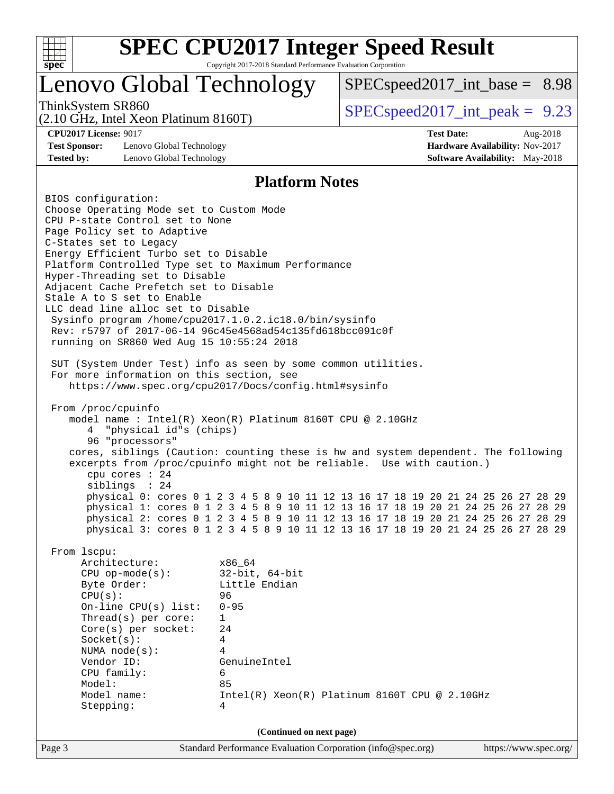

# **[SPEC CPU2017 Integer Speed Result](http://www.spec.org/auto/cpu2017/Docs/result-fields.html#SPECCPU2017IntegerSpeedResult)**

Copyright 2017-2018 Standard Performance Evaluation Corporation

# Lenovo Global Technology

[SPECspeed2017\\_int\\_base =](http://www.spec.org/auto/cpu2017/Docs/result-fields.html#SPECspeed2017intbase) 8.98

(2.10 GHz, Intel Xeon Platinum 8160T)

ThinkSystem SR860<br>  $(2.10 \text{ GHz. Intel } \text{Yeon Platinum } 8160 \text{T})$  [SPECspeed2017\\_int\\_peak =](http://www.spec.org/auto/cpu2017/Docs/result-fields.html#SPECspeed2017intpeak) 9.23

**[Test Sponsor:](http://www.spec.org/auto/cpu2017/Docs/result-fields.html#TestSponsor)** Lenovo Global Technology **[Hardware Availability:](http://www.spec.org/auto/cpu2017/Docs/result-fields.html#HardwareAvailability)** Nov-2017 **[Tested by:](http://www.spec.org/auto/cpu2017/Docs/result-fields.html#Testedby)** Lenovo Global Technology **[Software Availability:](http://www.spec.org/auto/cpu2017/Docs/result-fields.html#SoftwareAvailability)** May-2018

**[CPU2017 License:](http://www.spec.org/auto/cpu2017/Docs/result-fields.html#CPU2017License)** 9017 **[Test Date:](http://www.spec.org/auto/cpu2017/Docs/result-fields.html#TestDate)** Aug-2018

### **[Platform Notes](http://www.spec.org/auto/cpu2017/Docs/result-fields.html#PlatformNotes)**

| Hyper-Threading set to Disable<br>Adjacent Cache Prefetch set to Disable<br>Stale A to S set to Enable<br>LLC dead line alloc set to Disable<br>Sysinfo program /home/cpu2017.1.0.2.ic18.0/bin/sysinfo<br>Rev: r5797 of 2017-06-14 96c45e4568ad54c135fd618bcc091c0f<br>running on SR860 Wed Aug 15 10:55:24 2018<br>SUT (System Under Test) info as seen by some common utilities.<br>For more information on this section, see<br>https://www.spec.org/cpu2017/Docs/config.html#sysinfo<br>From /proc/cpuinfo<br>model name: $Intel(R)$ Xeon $(R)$ Platinum 8160T CPU @ 2.10GHz<br>4 "physical id"s (chips)<br>96 "processors"<br>cores, siblings (Caution: counting these is hw and system dependent. The following<br>excerpts from /proc/cpuinfo might not be reliable. Use with caution.)<br>cpu cores $: 24$<br>siblings : 24<br>physical 0: cores 0 1 2 3 4 5 8 9 10 11 12 13 16 17 18 19 20 21 24 25 26 27 28 29<br>physical 1: cores 0 1 2 3 4 5 8 9 10 11 12 13 16 17 18 19 20 21 24 25 26 27 28 29<br>physical 2: cores 0 1 2 3 4 5 8 9 10 11 12 13 16 17 18 19 20 21 24 25 26 27 28 29<br>physical 3: cores 0 1 2 3 4 5 8 9 10 11 12 13 16 17 18 19 20 21 24 25 26 27 28 29<br>From 1scpu:<br>Architecture:<br>x86_64<br>CPU op-mode(s): $32-bit, 64-bit$<br>Little Endian<br>Byte Order:<br>CPU(s):<br>96<br>On-line CPU(s) list: $0-95$<br>$\mathbf{1}$<br>Thread(s) per core:<br>Core(s) per socket:<br>24<br>4<br>Socket(s): |
|----------------------------------------------------------------------------------------------------------------------------------------------------------------------------------------------------------------------------------------------------------------------------------------------------------------------------------------------------------------------------------------------------------------------------------------------------------------------------------------------------------------------------------------------------------------------------------------------------------------------------------------------------------------------------------------------------------------------------------------------------------------------------------------------------------------------------------------------------------------------------------------------------------------------------------------------------------------------------------------------------------------------------------------------------------------------------------------------------------------------------------------------------------------------------------------------------------------------------------------------------------------------------------------------------------------------------------------------------------------------------------------------------------------------------------------------|
|                                                                                                                                                                                                                                                                                                                                                                                                                                                                                                                                                                                                                                                                                                                                                                                                                                                                                                                                                                                                                                                                                                                                                                                                                                                                                                                                                                                                                                              |
|                                                                                                                                                                                                                                                                                                                                                                                                                                                                                                                                                                                                                                                                                                                                                                                                                                                                                                                                                                                                                                                                                                                                                                                                                                                                                                                                                                                                                                              |
|                                                                                                                                                                                                                                                                                                                                                                                                                                                                                                                                                                                                                                                                                                                                                                                                                                                                                                                                                                                                                                                                                                                                                                                                                                                                                                                                                                                                                                              |
| NUMA $node(s)$ :<br>4<br>Vendor ID:<br>GenuineIntel<br>CPU family:<br>6<br>Model:<br>85<br>Intel(R) Xeon(R) Platinum 8160T CPU @ 2.10GHz<br>Model name:<br>Stepping:<br>4                                                                                                                                                                                                                                                                                                                                                                                                                                                                                                                                                                                                                                                                                                                                                                                                                                                                                                                                                                                                                                                                                                                                                                                                                                                                    |
| (Continued on next page)<br>Standard Performance Evaluation Corporation (info@spec.org)<br>https://www.spec.org/<br>Page 3                                                                                                                                                                                                                                                                                                                                                                                                                                                                                                                                                                                                                                                                                                                                                                                                                                                                                                                                                                                                                                                                                                                                                                                                                                                                                                                   |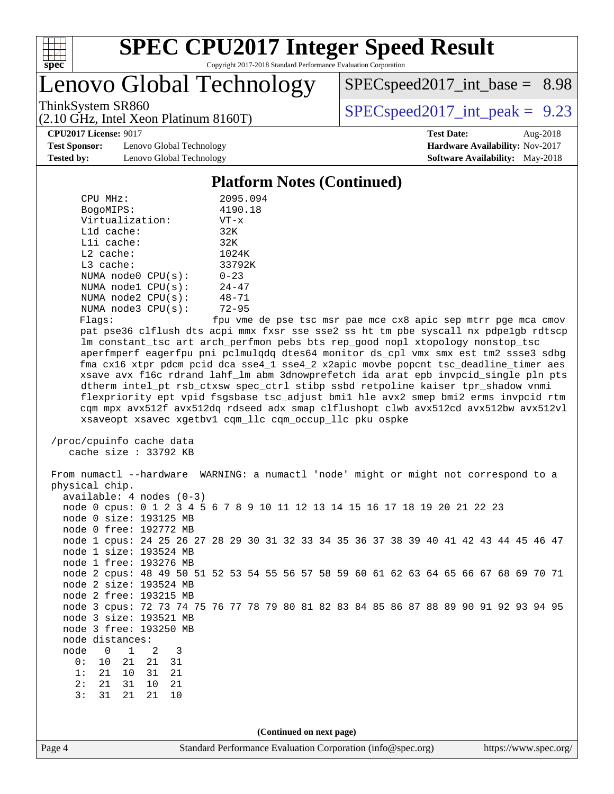

# Lenovo Global Technology

 $SPECspeed2017\_int\_base = 8.98$ 

(2.10 GHz, Intel Xeon Platinum 8160T)

ThinkSystem SR860<br>  $SPEC speed2017$  int\_peak = 9.23

**[Test Sponsor:](http://www.spec.org/auto/cpu2017/Docs/result-fields.html#TestSponsor)** Lenovo Global Technology **[Hardware Availability:](http://www.spec.org/auto/cpu2017/Docs/result-fields.html#HardwareAvailability)** Nov-2017 **[Tested by:](http://www.spec.org/auto/cpu2017/Docs/result-fields.html#Testedby)** Lenovo Global Technology **[Software Availability:](http://www.spec.org/auto/cpu2017/Docs/result-fields.html#SoftwareAvailability)** May-2018

**[CPU2017 License:](http://www.spec.org/auto/cpu2017/Docs/result-fields.html#CPU2017License)** 9017 **[Test Date:](http://www.spec.org/auto/cpu2017/Docs/result-fields.html#TestDate)** Aug-2018

### **[Platform Notes \(Continued\)](http://www.spec.org/auto/cpu2017/Docs/result-fields.html#PlatformNotes)**

| CPU MHz:    |                 |                         | 2095.094  |
|-------------|-----------------|-------------------------|-----------|
| BogoMIPS:   |                 | 4190.18                 |           |
|             | Virtualization: | $VT - x$                |           |
|             | $L1d$ cache:    | 32K                     |           |
|             | $L1i$ cache:    |                         | 32K       |
| $L2$ cache: |                 |                         | 1024K     |
| $L3$ cache: |                 |                         | 33792K    |
|             |                 | NUMA $node0$ $CPU(s)$ : | $0 - 23$  |
|             |                 | NUMA $node1$ $CPU(s)$ : | $24 - 47$ |
|             |                 | NUMA $node2$ $CPU(s)$ : | $48 - 71$ |
|             |                 | NUMA $node3$ $CPU(s):$  | $72 - 95$ |
|             |                 |                         |           |

Flags: fpu vme de pse tsc msr pae mce cx8 apic sep mtrr pge mca cmov pat pse36 clflush dts acpi mmx fxsr sse sse2 ss ht tm pbe syscall nx pdpe1gb rdtscp lm constant\_tsc art arch\_perfmon pebs bts rep\_good nopl xtopology nonstop\_tsc aperfmperf eagerfpu pni pclmulqdq dtes64 monitor ds\_cpl vmx smx est tm2 ssse3 sdbg fma cx16 xtpr pdcm pcid dca sse4\_1 sse4\_2 x2apic movbe popcnt tsc\_deadline\_timer aes xsave avx f16c rdrand lahf\_lm abm 3dnowprefetch ida arat epb invpcid\_single pln pts dtherm intel\_pt rsb\_ctxsw spec\_ctrl stibp ssbd retpoline kaiser tpr\_shadow vnmi flexpriority ept vpid fsgsbase tsc\_adjust bmi1 hle avx2 smep bmi2 erms invpcid rtm cqm mpx avx512f avx512dq rdseed adx smap clflushopt clwb avx512cd avx512bw avx512vl xsaveopt xsavec xgetbv1 cqm\_llc cqm\_occup\_llc pku ospke

```
 /proc/cpuinfo cache data
cache size : 33792 KB
```
 From numactl --hardware WARNING: a numactl 'node' might or might not correspond to a physical chip. available: 4 nodes (0-3) node 0 cpus: 0 1 2 3 4 5 6 7 8 9 10 11 12 13 14 15 16 17 18 19 20 21 22 23 node 0 size: 193125 MB node 0 free: 192772 MB node 1 cpus: 24 25 26 27 28 29 30 31 32 33 34 35 36 37 38 39 40 41 42 43 44 45 46 47 node 1 size: 193524 MB node 1 free: 193276 MB node 2 cpus: 48 49 50 51 52 53 54 55 56 57 58 59 60 61 62 63 64 65 66 67 68 69 70 71 node 2 size: 193524 MB node 2 free: 193215 MB node 3 cpus: 72 73 74 75 76 77 78 79 80 81 82 83 84 85 86 87 88 89 90 91 92 93 94 95 node 3 size: 193521 MB node 3 free: 193250 MB node distances: node 0 1 2 3 0: 10 21 21 31 1: 21 10 31 21 2: 21 31 10 21 3: 31 21 21 10 **(Continued on next page)**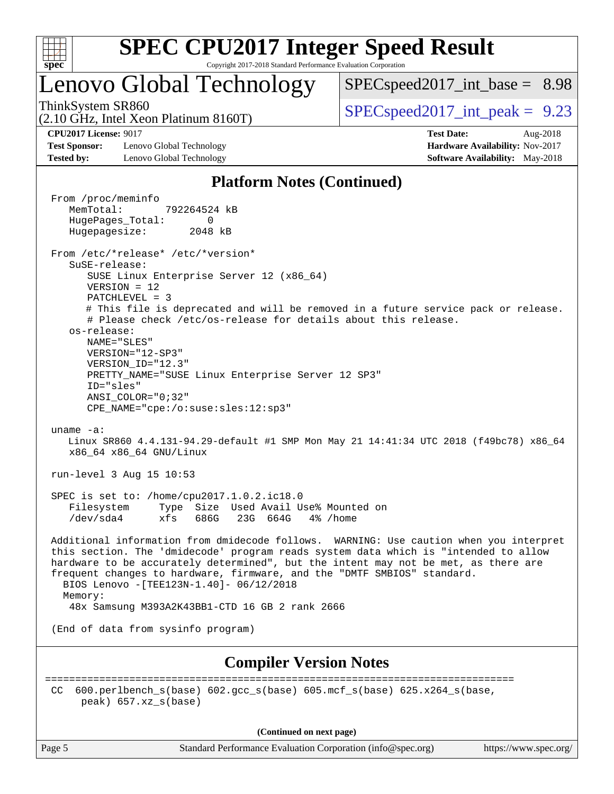

# Lenovo Global Technology

 $SPECspeed2017\_int\_base = 8.98$ 

ThinkSystem SR860<br>  $SPEC speed2017$  int\_peak = 9.23

**[Test Sponsor:](http://www.spec.org/auto/cpu2017/Docs/result-fields.html#TestSponsor)** Lenovo Global Technology **[Hardware Availability:](http://www.spec.org/auto/cpu2017/Docs/result-fields.html#HardwareAvailability)** Nov-2017 **[Tested by:](http://www.spec.org/auto/cpu2017/Docs/result-fields.html#Testedby)** Lenovo Global Technology **[Software Availability:](http://www.spec.org/auto/cpu2017/Docs/result-fields.html#SoftwareAvailability)** May-2018

(2.10 GHz, Intel Xeon Platinum 8160T)

**[CPU2017 License:](http://www.spec.org/auto/cpu2017/Docs/result-fields.html#CPU2017License)** 9017 **[Test Date:](http://www.spec.org/auto/cpu2017/Docs/result-fields.html#TestDate)** Aug-2018

### **[Platform Notes \(Continued\)](http://www.spec.org/auto/cpu2017/Docs/result-fields.html#PlatformNotes)**

 From /proc/meminfo MemTotal: 792264524 kB HugePages\_Total: 0 Hugepagesize: 2048 kB From /etc/\*release\* /etc/\*version\* SuSE-release: SUSE Linux Enterprise Server 12 (x86\_64) VERSION = 12 PATCHLEVEL = 3 # This file is deprecated and will be removed in a future service pack or release. # Please check /etc/os-release for details about this release. os-release: NAME="SLES" VERSION="12-SP3" VERSION\_ID="12.3" PRETTY\_NAME="SUSE Linux Enterprise Server 12 SP3" ID="sles" ANSI\_COLOR="0;32" CPE\_NAME="cpe:/o:suse:sles:12:sp3" uname -a: Linux SR860 4.4.131-94.29-default #1 SMP Mon May 21 14:41:34 UTC 2018 (f49bc78) x86\_64 x86\_64 x86\_64 GNU/Linux run-level 3 Aug 15 10:53 SPEC is set to: /home/cpu2017.1.0.2.ic18.0 Filesystem Type Size Used Avail Use% Mounted on /dev/sda4 xfs 686G 23G 664G 4% /home Additional information from dmidecode follows. WARNING: Use caution when you interpret this section. The 'dmidecode' program reads system data which is "intended to allow hardware to be accurately determined", but the intent may not be met, as there are frequent changes to hardware, firmware, and the "DMTF SMBIOS" standard. BIOS Lenovo -[TEE123N-1.40]- 06/12/2018 Memory: 48x Samsung M393A2K43BB1-CTD 16 GB 2 rank 2666 (End of data from sysinfo program) **[Compiler Version Notes](http://www.spec.org/auto/cpu2017/Docs/result-fields.html#CompilerVersionNotes)** ============================================================================== CC 600.perlbench\_s(base) 602.gcc\_s(base) 605.mcf\_s(base) 625.x264\_s(base, peak) 657.xz\_s(base)

**(Continued on next page)**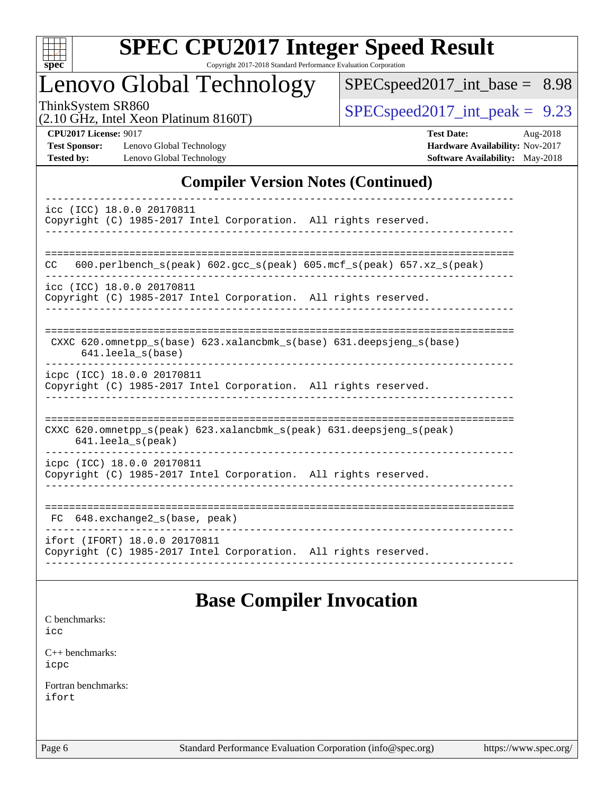

# **[SPEC CPU2017 Integer Speed Result](http://www.spec.org/auto/cpu2017/Docs/result-fields.html#SPECCPU2017IntegerSpeedResult)**

Copyright 2017-2018 Standard Performance Evaluation Corporation

# Lenovo Global Technology

[SPECspeed2017\\_int\\_base =](http://www.spec.org/auto/cpu2017/Docs/result-fields.html#SPECspeed2017intbase) 8.98

(2.10 GHz, Intel Xeon Platinum 8160T)

ThinkSystem SR860<br>  $(2.10 \text{ GHz. Intel Yoon Plotinum } 8160 \text{T})$   $\text{SPEC speed2017\_int\_peak} = 9.23$ 

**[Test Sponsor:](http://www.spec.org/auto/cpu2017/Docs/result-fields.html#TestSponsor)** Lenovo Global Technology **[Hardware Availability:](http://www.spec.org/auto/cpu2017/Docs/result-fields.html#HardwareAvailability)** Nov-2017 **[Tested by:](http://www.spec.org/auto/cpu2017/Docs/result-fields.html#Testedby)** Lenovo Global Technology **[Software Availability:](http://www.spec.org/auto/cpu2017/Docs/result-fields.html#SoftwareAvailability)** May-2018

**[CPU2017 License:](http://www.spec.org/auto/cpu2017/Docs/result-fields.html#CPU2017License)** 9017 **[Test Date:](http://www.spec.org/auto/cpu2017/Docs/result-fields.html#TestDate)** Aug-2018

### **[Compiler Version Notes \(Continued\)](http://www.spec.org/auto/cpu2017/Docs/result-fields.html#CompilerVersionNotes)**

| icc (ICC) 18.0.0 20170811<br>Copyright (C) 1985-2017 Intel Corporation. All rights reserved.     |
|--------------------------------------------------------------------------------------------------|
|                                                                                                  |
| 600.perlbench_s(peak) 602.gcc_s(peak) 605.mcf_s(peak) 657.xz_s(peak)<br>CC.                      |
| icc (ICC) 18.0.0 20170811<br>Copyright (C) 1985-2017 Intel Corporation. All rights reserved.     |
|                                                                                                  |
| CXXC 620.omnetpp_s(base) 623.xalancbmk_s(base) 631.deepsjeng_s(base)<br>641.leela s(base)        |
| icpc (ICC) 18.0.0 20170811<br>Copyright (C) 1985-2017 Intel Corporation. All rights reserved.    |
| CXXC 620.omnetpp_s(peak) 623.xalancbmk_s(peak) 631.deepsjeng_s(peak)<br>$641.$ leela $s$ (peak)  |
| icpc (ICC) 18.0.0 20170811<br>Copyright (C) 1985-2017 Intel Corporation. All rights reserved.    |
| 648.exchange2_s(base, peak)<br>FC.                                                               |
| ifort (IFORT) 18.0.0 20170811<br>Copyright (C) 1985-2017 Intel Corporation. All rights reserved. |

### **[Base Compiler Invocation](http://www.spec.org/auto/cpu2017/Docs/result-fields.html#BaseCompilerInvocation)**

[C benchmarks](http://www.spec.org/auto/cpu2017/Docs/result-fields.html#Cbenchmarks):

[icc](http://www.spec.org/cpu2017/results/res2018q3/cpu2017-20180821-08616.flags.html#user_CCbase_intel_icc_18.0_66fc1ee009f7361af1fbd72ca7dcefbb700085f36577c54f309893dd4ec40d12360134090235512931783d35fd58c0460139e722d5067c5574d8eaf2b3e37e92)

[C++ benchmarks:](http://www.spec.org/auto/cpu2017/Docs/result-fields.html#CXXbenchmarks) [icpc](http://www.spec.org/cpu2017/results/res2018q3/cpu2017-20180821-08616.flags.html#user_CXXbase_intel_icpc_18.0_c510b6838c7f56d33e37e94d029a35b4a7bccf4766a728ee175e80a419847e808290a9b78be685c44ab727ea267ec2f070ec5dc83b407c0218cded6866a35d07)

[Fortran benchmarks](http://www.spec.org/auto/cpu2017/Docs/result-fields.html#Fortranbenchmarks): [ifort](http://www.spec.org/cpu2017/results/res2018q3/cpu2017-20180821-08616.flags.html#user_FCbase_intel_ifort_18.0_8111460550e3ca792625aed983ce982f94888b8b503583aa7ba2b8303487b4d8a21a13e7191a45c5fd58ff318f48f9492884d4413fa793fd88dd292cad7027ca)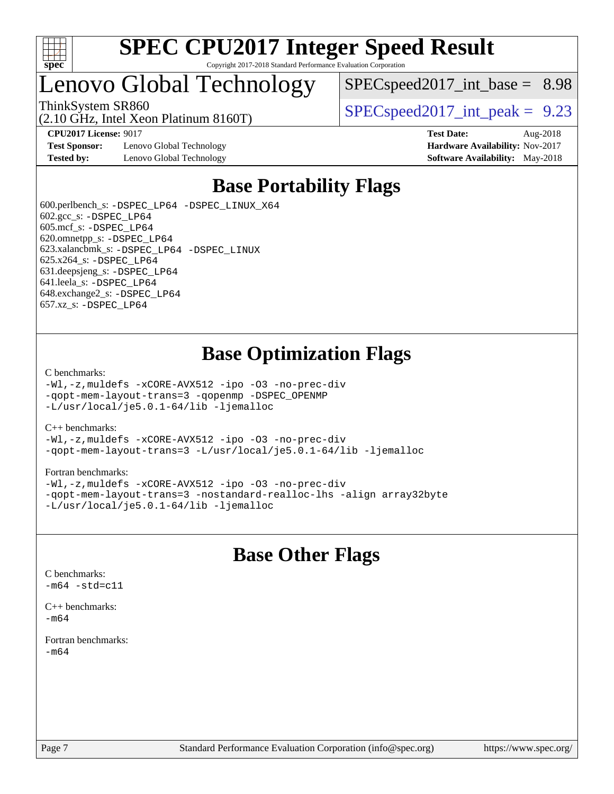

# Lenovo Global Technology

 $SPEC speed2017\_int\_base = 8.98$ 

ThinkSystem SR860<br>  $SPEC speed2017$  int\_peak = 9.23

**[CPU2017 License:](http://www.spec.org/auto/cpu2017/Docs/result-fields.html#CPU2017License)** 9017 **[Test Date:](http://www.spec.org/auto/cpu2017/Docs/result-fields.html#TestDate)** Aug-2018

**[Test Sponsor:](http://www.spec.org/auto/cpu2017/Docs/result-fields.html#TestSponsor)** Lenovo Global Technology **[Hardware Availability:](http://www.spec.org/auto/cpu2017/Docs/result-fields.html#HardwareAvailability)** Nov-2017 **[Tested by:](http://www.spec.org/auto/cpu2017/Docs/result-fields.html#Testedby)** Lenovo Global Technology **[Software Availability:](http://www.spec.org/auto/cpu2017/Docs/result-fields.html#SoftwareAvailability)** May-2018

(2.10 GHz, Intel Xeon Platinum 8160T)

# **[Base Portability Flags](http://www.spec.org/auto/cpu2017/Docs/result-fields.html#BasePortabilityFlags)**

 600.perlbench\_s: [-DSPEC\\_LP64](http://www.spec.org/cpu2017/results/res2018q3/cpu2017-20180821-08616.flags.html#b600.perlbench_s_basePORTABILITY_DSPEC_LP64) [-DSPEC\\_LINUX\\_X64](http://www.spec.org/cpu2017/results/res2018q3/cpu2017-20180821-08616.flags.html#b600.perlbench_s_baseCPORTABILITY_DSPEC_LINUX_X64) 602.gcc\_s: [-DSPEC\\_LP64](http://www.spec.org/cpu2017/results/res2018q3/cpu2017-20180821-08616.flags.html#suite_basePORTABILITY602_gcc_s_DSPEC_LP64) 605.mcf\_s: [-DSPEC\\_LP64](http://www.spec.org/cpu2017/results/res2018q3/cpu2017-20180821-08616.flags.html#suite_basePORTABILITY605_mcf_s_DSPEC_LP64) 620.omnetpp\_s: [-DSPEC\\_LP64](http://www.spec.org/cpu2017/results/res2018q3/cpu2017-20180821-08616.flags.html#suite_basePORTABILITY620_omnetpp_s_DSPEC_LP64) 623.xalancbmk\_s: [-DSPEC\\_LP64](http://www.spec.org/cpu2017/results/res2018q3/cpu2017-20180821-08616.flags.html#suite_basePORTABILITY623_xalancbmk_s_DSPEC_LP64) [-DSPEC\\_LINUX](http://www.spec.org/cpu2017/results/res2018q3/cpu2017-20180821-08616.flags.html#b623.xalancbmk_s_baseCXXPORTABILITY_DSPEC_LINUX) 625.x264\_s: [-DSPEC\\_LP64](http://www.spec.org/cpu2017/results/res2018q3/cpu2017-20180821-08616.flags.html#suite_basePORTABILITY625_x264_s_DSPEC_LP64) 631.deepsjeng\_s: [-DSPEC\\_LP64](http://www.spec.org/cpu2017/results/res2018q3/cpu2017-20180821-08616.flags.html#suite_basePORTABILITY631_deepsjeng_s_DSPEC_LP64) 641.leela\_s: [-DSPEC\\_LP64](http://www.spec.org/cpu2017/results/res2018q3/cpu2017-20180821-08616.flags.html#suite_basePORTABILITY641_leela_s_DSPEC_LP64) 648.exchange2\_s: [-DSPEC\\_LP64](http://www.spec.org/cpu2017/results/res2018q3/cpu2017-20180821-08616.flags.html#suite_basePORTABILITY648_exchange2_s_DSPEC_LP64) 657.xz\_s: [-DSPEC\\_LP64](http://www.spec.org/cpu2017/results/res2018q3/cpu2017-20180821-08616.flags.html#suite_basePORTABILITY657_xz_s_DSPEC_LP64)

## **[Base Optimization Flags](http://www.spec.org/auto/cpu2017/Docs/result-fields.html#BaseOptimizationFlags)**

### [C benchmarks](http://www.spec.org/auto/cpu2017/Docs/result-fields.html#Cbenchmarks):

[-Wl,-z,muldefs](http://www.spec.org/cpu2017/results/res2018q3/cpu2017-20180821-08616.flags.html#user_CCbase_link_force_multiple1_b4cbdb97b34bdee9ceefcfe54f4c8ea74255f0b02a4b23e853cdb0e18eb4525ac79b5a88067c842dd0ee6996c24547a27a4b99331201badda8798ef8a743f577) [-xCORE-AVX512](http://www.spec.org/cpu2017/results/res2018q3/cpu2017-20180821-08616.flags.html#user_CCbase_f-xCORE-AVX512) [-ipo](http://www.spec.org/cpu2017/results/res2018q3/cpu2017-20180821-08616.flags.html#user_CCbase_f-ipo) [-O3](http://www.spec.org/cpu2017/results/res2018q3/cpu2017-20180821-08616.flags.html#user_CCbase_f-O3) [-no-prec-div](http://www.spec.org/cpu2017/results/res2018q3/cpu2017-20180821-08616.flags.html#user_CCbase_f-no-prec-div) [-qopt-mem-layout-trans=3](http://www.spec.org/cpu2017/results/res2018q3/cpu2017-20180821-08616.flags.html#user_CCbase_f-qopt-mem-layout-trans_de80db37974c74b1f0e20d883f0b675c88c3b01e9d123adea9b28688d64333345fb62bc4a798493513fdb68f60282f9a726aa07f478b2f7113531aecce732043) [-qopenmp](http://www.spec.org/cpu2017/results/res2018q3/cpu2017-20180821-08616.flags.html#user_CCbase_qopenmp_16be0c44f24f464004c6784a7acb94aca937f053568ce72f94b139a11c7c168634a55f6653758ddd83bcf7b8463e8028bb0b48b77bcddc6b78d5d95bb1df2967) [-DSPEC\\_OPENMP](http://www.spec.org/cpu2017/results/res2018q3/cpu2017-20180821-08616.flags.html#suite_CCbase_DSPEC_OPENMP) [-L/usr/local/je5.0.1-64/lib](http://www.spec.org/cpu2017/results/res2018q3/cpu2017-20180821-08616.flags.html#user_CCbase_jemalloc_link_path64_4b10a636b7bce113509b17f3bd0d6226c5fb2346b9178c2d0232c14f04ab830f976640479e5c33dc2bcbbdad86ecfb6634cbbd4418746f06f368b512fced5394) [-ljemalloc](http://www.spec.org/cpu2017/results/res2018q3/cpu2017-20180821-08616.flags.html#user_CCbase_jemalloc_link_lib_d1249b907c500fa1c0672f44f562e3d0f79738ae9e3c4a9c376d49f265a04b9c99b167ecedbf6711b3085be911c67ff61f150a17b3472be731631ba4d0471706)

### [C++ benchmarks:](http://www.spec.org/auto/cpu2017/Docs/result-fields.html#CXXbenchmarks)

[-Wl,-z,muldefs](http://www.spec.org/cpu2017/results/res2018q3/cpu2017-20180821-08616.flags.html#user_CXXbase_link_force_multiple1_b4cbdb97b34bdee9ceefcfe54f4c8ea74255f0b02a4b23e853cdb0e18eb4525ac79b5a88067c842dd0ee6996c24547a27a4b99331201badda8798ef8a743f577) [-xCORE-AVX512](http://www.spec.org/cpu2017/results/res2018q3/cpu2017-20180821-08616.flags.html#user_CXXbase_f-xCORE-AVX512) [-ipo](http://www.spec.org/cpu2017/results/res2018q3/cpu2017-20180821-08616.flags.html#user_CXXbase_f-ipo) [-O3](http://www.spec.org/cpu2017/results/res2018q3/cpu2017-20180821-08616.flags.html#user_CXXbase_f-O3) [-no-prec-div](http://www.spec.org/cpu2017/results/res2018q3/cpu2017-20180821-08616.flags.html#user_CXXbase_f-no-prec-div) [-qopt-mem-layout-trans=3](http://www.spec.org/cpu2017/results/res2018q3/cpu2017-20180821-08616.flags.html#user_CXXbase_f-qopt-mem-layout-trans_de80db37974c74b1f0e20d883f0b675c88c3b01e9d123adea9b28688d64333345fb62bc4a798493513fdb68f60282f9a726aa07f478b2f7113531aecce732043) [-L/usr/local/je5.0.1-64/lib](http://www.spec.org/cpu2017/results/res2018q3/cpu2017-20180821-08616.flags.html#user_CXXbase_jemalloc_link_path64_4b10a636b7bce113509b17f3bd0d6226c5fb2346b9178c2d0232c14f04ab830f976640479e5c33dc2bcbbdad86ecfb6634cbbd4418746f06f368b512fced5394) [-ljemalloc](http://www.spec.org/cpu2017/results/res2018q3/cpu2017-20180821-08616.flags.html#user_CXXbase_jemalloc_link_lib_d1249b907c500fa1c0672f44f562e3d0f79738ae9e3c4a9c376d49f265a04b9c99b167ecedbf6711b3085be911c67ff61f150a17b3472be731631ba4d0471706)

### [Fortran benchmarks](http://www.spec.org/auto/cpu2017/Docs/result-fields.html#Fortranbenchmarks):

[-Wl,-z,muldefs](http://www.spec.org/cpu2017/results/res2018q3/cpu2017-20180821-08616.flags.html#user_FCbase_link_force_multiple1_b4cbdb97b34bdee9ceefcfe54f4c8ea74255f0b02a4b23e853cdb0e18eb4525ac79b5a88067c842dd0ee6996c24547a27a4b99331201badda8798ef8a743f577) [-xCORE-AVX512](http://www.spec.org/cpu2017/results/res2018q3/cpu2017-20180821-08616.flags.html#user_FCbase_f-xCORE-AVX512) [-ipo](http://www.spec.org/cpu2017/results/res2018q3/cpu2017-20180821-08616.flags.html#user_FCbase_f-ipo) [-O3](http://www.spec.org/cpu2017/results/res2018q3/cpu2017-20180821-08616.flags.html#user_FCbase_f-O3) [-no-prec-div](http://www.spec.org/cpu2017/results/res2018q3/cpu2017-20180821-08616.flags.html#user_FCbase_f-no-prec-div) [-qopt-mem-layout-trans=3](http://www.spec.org/cpu2017/results/res2018q3/cpu2017-20180821-08616.flags.html#user_FCbase_f-qopt-mem-layout-trans_de80db37974c74b1f0e20d883f0b675c88c3b01e9d123adea9b28688d64333345fb62bc4a798493513fdb68f60282f9a726aa07f478b2f7113531aecce732043) [-nostandard-realloc-lhs](http://www.spec.org/cpu2017/results/res2018q3/cpu2017-20180821-08616.flags.html#user_FCbase_f_2003_std_realloc_82b4557e90729c0f113870c07e44d33d6f5a304b4f63d4c15d2d0f1fab99f5daaed73bdb9275d9ae411527f28b936061aa8b9c8f2d63842963b95c9dd6426b8a) [-align array32byte](http://www.spec.org/cpu2017/results/res2018q3/cpu2017-20180821-08616.flags.html#user_FCbase_align_array32byte_b982fe038af199962ba9a80c053b8342c548c85b40b8e86eb3cc33dee0d7986a4af373ac2d51c3f7cf710a18d62fdce2948f201cd044323541f22fc0fffc51b6) [-L/usr/local/je5.0.1-64/lib](http://www.spec.org/cpu2017/results/res2018q3/cpu2017-20180821-08616.flags.html#user_FCbase_jemalloc_link_path64_4b10a636b7bce113509b17f3bd0d6226c5fb2346b9178c2d0232c14f04ab830f976640479e5c33dc2bcbbdad86ecfb6634cbbd4418746f06f368b512fced5394) [-ljemalloc](http://www.spec.org/cpu2017/results/res2018q3/cpu2017-20180821-08616.flags.html#user_FCbase_jemalloc_link_lib_d1249b907c500fa1c0672f44f562e3d0f79738ae9e3c4a9c376d49f265a04b9c99b167ecedbf6711b3085be911c67ff61f150a17b3472be731631ba4d0471706)

### **[Base Other Flags](http://www.spec.org/auto/cpu2017/Docs/result-fields.html#BaseOtherFlags)**

[C benchmarks](http://www.spec.org/auto/cpu2017/Docs/result-fields.html#Cbenchmarks):  $-m64 - std= c11$  $-m64 - std= c11$ 

[C++ benchmarks:](http://www.spec.org/auto/cpu2017/Docs/result-fields.html#CXXbenchmarks) [-m64](http://www.spec.org/cpu2017/results/res2018q3/cpu2017-20180821-08616.flags.html#user_CXXbase_intel_intel64_18.0_af43caccfc8ded86e7699f2159af6efc7655f51387b94da716254467f3c01020a5059329e2569e4053f409e7c9202a7efc638f7a6d1ffb3f52dea4a3e31d82ab)

[Fortran benchmarks](http://www.spec.org/auto/cpu2017/Docs/result-fields.html#Fortranbenchmarks): [-m64](http://www.spec.org/cpu2017/results/res2018q3/cpu2017-20180821-08616.flags.html#user_FCbase_intel_intel64_18.0_af43caccfc8ded86e7699f2159af6efc7655f51387b94da716254467f3c01020a5059329e2569e4053f409e7c9202a7efc638f7a6d1ffb3f52dea4a3e31d82ab)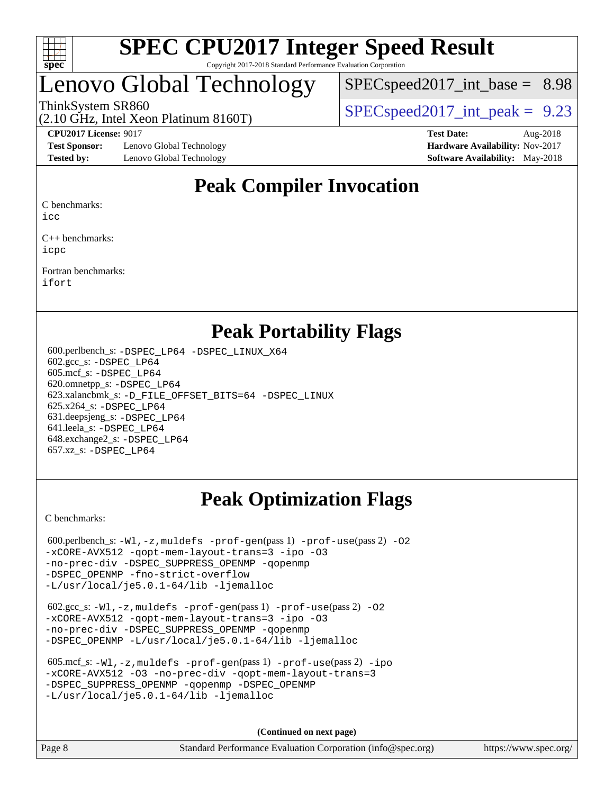

# enovo Global Technology

 $SPECspeed2017\_int\_base = 8.98$ 

(2.10 GHz, Intel Xeon Platinum 8160T)

### ThinkSystem SR860<br>  $SPEC speed2017$  int\_peak = 9.23

**[Test Sponsor:](http://www.spec.org/auto/cpu2017/Docs/result-fields.html#TestSponsor)** Lenovo Global Technology **[Hardware Availability:](http://www.spec.org/auto/cpu2017/Docs/result-fields.html#HardwareAvailability)** Nov-2017 **[Tested by:](http://www.spec.org/auto/cpu2017/Docs/result-fields.html#Testedby)** Lenovo Global Technology **[Software Availability:](http://www.spec.org/auto/cpu2017/Docs/result-fields.html#SoftwareAvailability)** May-2018

**[CPU2017 License:](http://www.spec.org/auto/cpu2017/Docs/result-fields.html#CPU2017License)** 9017 **[Test Date:](http://www.spec.org/auto/cpu2017/Docs/result-fields.html#TestDate)** Aug-2018

## **[Peak Compiler Invocation](http://www.spec.org/auto/cpu2017/Docs/result-fields.html#PeakCompilerInvocation)**

[C benchmarks](http://www.spec.org/auto/cpu2017/Docs/result-fields.html#Cbenchmarks):

[icc](http://www.spec.org/cpu2017/results/res2018q3/cpu2017-20180821-08616.flags.html#user_CCpeak_intel_icc_18.0_66fc1ee009f7361af1fbd72ca7dcefbb700085f36577c54f309893dd4ec40d12360134090235512931783d35fd58c0460139e722d5067c5574d8eaf2b3e37e92)

[C++ benchmarks:](http://www.spec.org/auto/cpu2017/Docs/result-fields.html#CXXbenchmarks) [icpc](http://www.spec.org/cpu2017/results/res2018q3/cpu2017-20180821-08616.flags.html#user_CXXpeak_intel_icpc_18.0_c510b6838c7f56d33e37e94d029a35b4a7bccf4766a728ee175e80a419847e808290a9b78be685c44ab727ea267ec2f070ec5dc83b407c0218cded6866a35d07)

[Fortran benchmarks](http://www.spec.org/auto/cpu2017/Docs/result-fields.html#Fortranbenchmarks): [ifort](http://www.spec.org/cpu2017/results/res2018q3/cpu2017-20180821-08616.flags.html#user_FCpeak_intel_ifort_18.0_8111460550e3ca792625aed983ce982f94888b8b503583aa7ba2b8303487b4d8a21a13e7191a45c5fd58ff318f48f9492884d4413fa793fd88dd292cad7027ca)

### **[Peak Portability Flags](http://www.spec.org/auto/cpu2017/Docs/result-fields.html#PeakPortabilityFlags)**

 600.perlbench\_s: [-DSPEC\\_LP64](http://www.spec.org/cpu2017/results/res2018q3/cpu2017-20180821-08616.flags.html#b600.perlbench_s_peakPORTABILITY_DSPEC_LP64) [-DSPEC\\_LINUX\\_X64](http://www.spec.org/cpu2017/results/res2018q3/cpu2017-20180821-08616.flags.html#b600.perlbench_s_peakCPORTABILITY_DSPEC_LINUX_X64) 602.gcc\_s: [-DSPEC\\_LP64](http://www.spec.org/cpu2017/results/res2018q3/cpu2017-20180821-08616.flags.html#suite_peakPORTABILITY602_gcc_s_DSPEC_LP64) 605.mcf\_s: [-DSPEC\\_LP64](http://www.spec.org/cpu2017/results/res2018q3/cpu2017-20180821-08616.flags.html#suite_peakPORTABILITY605_mcf_s_DSPEC_LP64) 620.omnetpp\_s: [-DSPEC\\_LP64](http://www.spec.org/cpu2017/results/res2018q3/cpu2017-20180821-08616.flags.html#suite_peakPORTABILITY620_omnetpp_s_DSPEC_LP64) 623.xalancbmk\_s: [-D\\_FILE\\_OFFSET\\_BITS=64](http://www.spec.org/cpu2017/results/res2018q3/cpu2017-20180821-08616.flags.html#user_peakPORTABILITY623_xalancbmk_s_file_offset_bits_64_5ae949a99b284ddf4e95728d47cb0843d81b2eb0e18bdfe74bbf0f61d0b064f4bda2f10ea5eb90e1dcab0e84dbc592acfc5018bc955c18609f94ddb8d550002c) [-DSPEC\\_LINUX](http://www.spec.org/cpu2017/results/res2018q3/cpu2017-20180821-08616.flags.html#b623.xalancbmk_s_peakCXXPORTABILITY_DSPEC_LINUX) 625.x264\_s: [-DSPEC\\_LP64](http://www.spec.org/cpu2017/results/res2018q3/cpu2017-20180821-08616.flags.html#suite_peakPORTABILITY625_x264_s_DSPEC_LP64) 631.deepsjeng\_s: [-DSPEC\\_LP64](http://www.spec.org/cpu2017/results/res2018q3/cpu2017-20180821-08616.flags.html#suite_peakPORTABILITY631_deepsjeng_s_DSPEC_LP64) 641.leela\_s: [-DSPEC\\_LP64](http://www.spec.org/cpu2017/results/res2018q3/cpu2017-20180821-08616.flags.html#suite_peakPORTABILITY641_leela_s_DSPEC_LP64) 648.exchange2\_s: [-DSPEC\\_LP64](http://www.spec.org/cpu2017/results/res2018q3/cpu2017-20180821-08616.flags.html#suite_peakPORTABILITY648_exchange2_s_DSPEC_LP64) 657.xz\_s: [-DSPEC\\_LP64](http://www.spec.org/cpu2017/results/res2018q3/cpu2017-20180821-08616.flags.html#suite_peakPORTABILITY657_xz_s_DSPEC_LP64)

# **[Peak Optimization Flags](http://www.spec.org/auto/cpu2017/Docs/result-fields.html#PeakOptimizationFlags)**

[C benchmarks](http://www.spec.org/auto/cpu2017/Docs/result-fields.html#Cbenchmarks):

600.perlbench\_s:  $-W1$ , -z, muldefs [-prof-gen](http://www.spec.org/cpu2017/results/res2018q3/cpu2017-20180821-08616.flags.html#user_peakPASS1_CFLAGSPASS1_LDFLAGS600_perlbench_s_prof_gen_5aa4926d6013ddb2a31985c654b3eb18169fc0c6952a63635c234f711e6e63dd76e94ad52365559451ec499a2cdb89e4dc58ba4c67ef54ca681ffbe1461d6b36)(pass 1) [-prof-use](http://www.spec.org/cpu2017/results/res2018q3/cpu2017-20180821-08616.flags.html#user_peakPASS2_CFLAGSPASS2_LDFLAGS600_perlbench_s_prof_use_1a21ceae95f36a2b53c25747139a6c16ca95bd9def2a207b4f0849963b97e94f5260e30a0c64f4bb623698870e679ca08317ef8150905d41bd88c6f78df73f19)(pass 2) -02 [-xCORE-AVX512](http://www.spec.org/cpu2017/results/res2018q3/cpu2017-20180821-08616.flags.html#user_peakPASS2_COPTIMIZE600_perlbench_s_f-xCORE-AVX512) [-qopt-mem-layout-trans=3](http://www.spec.org/cpu2017/results/res2018q3/cpu2017-20180821-08616.flags.html#user_peakPASS1_COPTIMIZEPASS2_COPTIMIZE600_perlbench_s_f-qopt-mem-layout-trans_de80db37974c74b1f0e20d883f0b675c88c3b01e9d123adea9b28688d64333345fb62bc4a798493513fdb68f60282f9a726aa07f478b2f7113531aecce732043) [-ipo](http://www.spec.org/cpu2017/results/res2018q3/cpu2017-20180821-08616.flags.html#user_peakPASS2_COPTIMIZE600_perlbench_s_f-ipo) [-O3](http://www.spec.org/cpu2017/results/res2018q3/cpu2017-20180821-08616.flags.html#user_peakPASS2_COPTIMIZE600_perlbench_s_f-O3) [-no-prec-div](http://www.spec.org/cpu2017/results/res2018q3/cpu2017-20180821-08616.flags.html#user_peakPASS2_COPTIMIZE600_perlbench_s_f-no-prec-div) [-DSPEC\\_SUPPRESS\\_OPENMP](http://www.spec.org/cpu2017/results/res2018q3/cpu2017-20180821-08616.flags.html#suite_peakPASS1_COPTIMIZE600_perlbench_s_DSPEC_SUPPRESS_OPENMP) [-qopenmp](http://www.spec.org/cpu2017/results/res2018q3/cpu2017-20180821-08616.flags.html#user_peakPASS2_COPTIMIZE600_perlbench_s_qopenmp_16be0c44f24f464004c6784a7acb94aca937f053568ce72f94b139a11c7c168634a55f6653758ddd83bcf7b8463e8028bb0b48b77bcddc6b78d5d95bb1df2967) [-DSPEC\\_OPENMP](http://www.spec.org/cpu2017/results/res2018q3/cpu2017-20180821-08616.flags.html#suite_peakPASS2_COPTIMIZE600_perlbench_s_DSPEC_OPENMP) [-fno-strict-overflow](http://www.spec.org/cpu2017/results/res2018q3/cpu2017-20180821-08616.flags.html#user_peakEXTRA_OPTIMIZE600_perlbench_s_f-fno-strict-overflow) [-L/usr/local/je5.0.1-64/lib](http://www.spec.org/cpu2017/results/res2018q3/cpu2017-20180821-08616.flags.html#user_peakEXTRA_LIBS600_perlbench_s_jemalloc_link_path64_4b10a636b7bce113509b17f3bd0d6226c5fb2346b9178c2d0232c14f04ab830f976640479e5c33dc2bcbbdad86ecfb6634cbbd4418746f06f368b512fced5394) [-ljemalloc](http://www.spec.org/cpu2017/results/res2018q3/cpu2017-20180821-08616.flags.html#user_peakEXTRA_LIBS600_perlbench_s_jemalloc_link_lib_d1249b907c500fa1c0672f44f562e3d0f79738ae9e3c4a9c376d49f265a04b9c99b167ecedbf6711b3085be911c67ff61f150a17b3472be731631ba4d0471706)

 602.gcc\_s: [-Wl,-z,muldefs](http://www.spec.org/cpu2017/results/res2018q3/cpu2017-20180821-08616.flags.html#user_peakEXTRA_LDFLAGS602_gcc_s_link_force_multiple1_b4cbdb97b34bdee9ceefcfe54f4c8ea74255f0b02a4b23e853cdb0e18eb4525ac79b5a88067c842dd0ee6996c24547a27a4b99331201badda8798ef8a743f577) [-prof-gen](http://www.spec.org/cpu2017/results/res2018q3/cpu2017-20180821-08616.flags.html#user_peakPASS1_CFLAGSPASS1_LDFLAGS602_gcc_s_prof_gen_5aa4926d6013ddb2a31985c654b3eb18169fc0c6952a63635c234f711e6e63dd76e94ad52365559451ec499a2cdb89e4dc58ba4c67ef54ca681ffbe1461d6b36)(pass 1) [-prof-use](http://www.spec.org/cpu2017/results/res2018q3/cpu2017-20180821-08616.flags.html#user_peakPASS2_CFLAGSPASS2_LDFLAGS602_gcc_s_prof_use_1a21ceae95f36a2b53c25747139a6c16ca95bd9def2a207b4f0849963b97e94f5260e30a0c64f4bb623698870e679ca08317ef8150905d41bd88c6f78df73f19)(pass 2) [-O2](http://www.spec.org/cpu2017/results/res2018q3/cpu2017-20180821-08616.flags.html#user_peakPASS1_COPTIMIZE602_gcc_s_f-O2) [-xCORE-AVX512](http://www.spec.org/cpu2017/results/res2018q3/cpu2017-20180821-08616.flags.html#user_peakPASS2_COPTIMIZE602_gcc_s_f-xCORE-AVX512) [-qopt-mem-layout-trans=3](http://www.spec.org/cpu2017/results/res2018q3/cpu2017-20180821-08616.flags.html#user_peakPASS1_COPTIMIZEPASS2_COPTIMIZE602_gcc_s_f-qopt-mem-layout-trans_de80db37974c74b1f0e20d883f0b675c88c3b01e9d123adea9b28688d64333345fb62bc4a798493513fdb68f60282f9a726aa07f478b2f7113531aecce732043) [-ipo](http://www.spec.org/cpu2017/results/res2018q3/cpu2017-20180821-08616.flags.html#user_peakPASS2_COPTIMIZE602_gcc_s_f-ipo) [-O3](http://www.spec.org/cpu2017/results/res2018q3/cpu2017-20180821-08616.flags.html#user_peakPASS2_COPTIMIZE602_gcc_s_f-O3) [-no-prec-div](http://www.spec.org/cpu2017/results/res2018q3/cpu2017-20180821-08616.flags.html#user_peakPASS2_COPTIMIZE602_gcc_s_f-no-prec-div) [-DSPEC\\_SUPPRESS\\_OPENMP](http://www.spec.org/cpu2017/results/res2018q3/cpu2017-20180821-08616.flags.html#suite_peakPASS1_COPTIMIZE602_gcc_s_DSPEC_SUPPRESS_OPENMP) [-qopenmp](http://www.spec.org/cpu2017/results/res2018q3/cpu2017-20180821-08616.flags.html#user_peakPASS2_COPTIMIZE602_gcc_s_qopenmp_16be0c44f24f464004c6784a7acb94aca937f053568ce72f94b139a11c7c168634a55f6653758ddd83bcf7b8463e8028bb0b48b77bcddc6b78d5d95bb1df2967) [-DSPEC\\_OPENMP](http://www.spec.org/cpu2017/results/res2018q3/cpu2017-20180821-08616.flags.html#suite_peakPASS2_COPTIMIZE602_gcc_s_DSPEC_OPENMP) [-L/usr/local/je5.0.1-64/lib](http://www.spec.org/cpu2017/results/res2018q3/cpu2017-20180821-08616.flags.html#user_peakEXTRA_LIBS602_gcc_s_jemalloc_link_path64_4b10a636b7bce113509b17f3bd0d6226c5fb2346b9178c2d0232c14f04ab830f976640479e5c33dc2bcbbdad86ecfb6634cbbd4418746f06f368b512fced5394) [-ljemalloc](http://www.spec.org/cpu2017/results/res2018q3/cpu2017-20180821-08616.flags.html#user_peakEXTRA_LIBS602_gcc_s_jemalloc_link_lib_d1249b907c500fa1c0672f44f562e3d0f79738ae9e3c4a9c376d49f265a04b9c99b167ecedbf6711b3085be911c67ff61f150a17b3472be731631ba4d0471706)

| 605.mcf s: $-Wl$ , $-z$ , muldefs $-prof-qen(pass 1)$ $-prof-use(pass 2) -ipo$ |  |  |  |  |  |  |
|--------------------------------------------------------------------------------|--|--|--|--|--|--|
| -xCORE-AVX512 -03 -no-prec-div -gopt-mem-layout-trans=3                        |  |  |  |  |  |  |
| -DSPEC SUPPRESS OPENMP - gopenmp - DSPEC OPENMP                                |  |  |  |  |  |  |
| $-L/usr/local/ie5.0.1-64/lib -liemalloc$                                       |  |  |  |  |  |  |

**(Continued on next page)**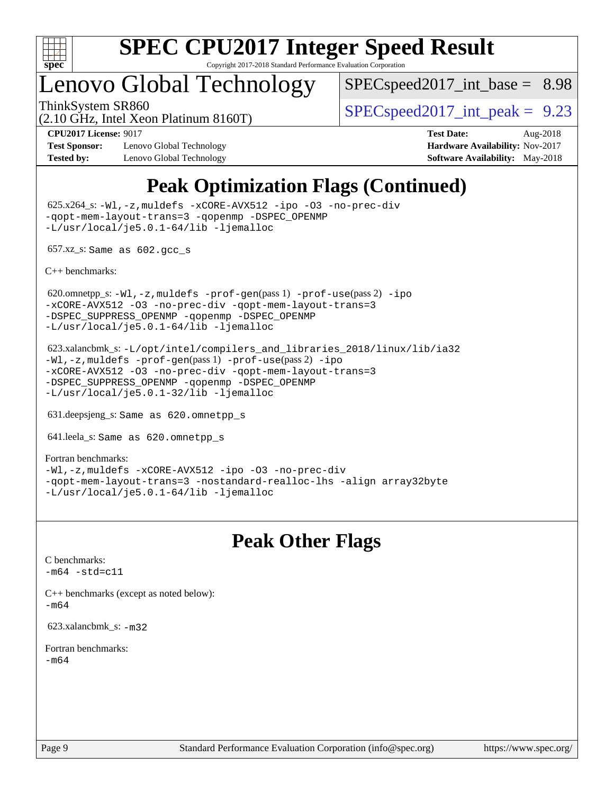

# Lenovo Global Technology

(2.10 GHz, Intel Xeon Platinum 8160T)

 $SPEC speed2017\_int\_base = 8.98$ 

ThinkSystem SR860<br>  $SPECspeed2017$  int\_peak = 9.23

**[Test Sponsor:](http://www.spec.org/auto/cpu2017/Docs/result-fields.html#TestSponsor)** Lenovo Global Technology **[Hardware Availability:](http://www.spec.org/auto/cpu2017/Docs/result-fields.html#HardwareAvailability)** Nov-2017 **[Tested by:](http://www.spec.org/auto/cpu2017/Docs/result-fields.html#Testedby)** Lenovo Global Technology **[Software Availability:](http://www.spec.org/auto/cpu2017/Docs/result-fields.html#SoftwareAvailability)** May-2018

**[CPU2017 License:](http://www.spec.org/auto/cpu2017/Docs/result-fields.html#CPU2017License)** 9017 **[Test Date:](http://www.spec.org/auto/cpu2017/Docs/result-fields.html#TestDate)** Aug-2018

# **[Peak Optimization Flags \(Continued\)](http://www.spec.org/auto/cpu2017/Docs/result-fields.html#PeakOptimizationFlags)**

 625.x264\_s: [-Wl,-z,muldefs](http://www.spec.org/cpu2017/results/res2018q3/cpu2017-20180821-08616.flags.html#user_peakEXTRA_LDFLAGS625_x264_s_link_force_multiple1_b4cbdb97b34bdee9ceefcfe54f4c8ea74255f0b02a4b23e853cdb0e18eb4525ac79b5a88067c842dd0ee6996c24547a27a4b99331201badda8798ef8a743f577) [-xCORE-AVX512](http://www.spec.org/cpu2017/results/res2018q3/cpu2017-20180821-08616.flags.html#user_peakCOPTIMIZE625_x264_s_f-xCORE-AVX512) [-ipo](http://www.spec.org/cpu2017/results/res2018q3/cpu2017-20180821-08616.flags.html#user_peakCOPTIMIZE625_x264_s_f-ipo) [-O3](http://www.spec.org/cpu2017/results/res2018q3/cpu2017-20180821-08616.flags.html#user_peakCOPTIMIZE625_x264_s_f-O3) [-no-prec-div](http://www.spec.org/cpu2017/results/res2018q3/cpu2017-20180821-08616.flags.html#user_peakCOPTIMIZE625_x264_s_f-no-prec-div) [-qopt-mem-layout-trans=3](http://www.spec.org/cpu2017/results/res2018q3/cpu2017-20180821-08616.flags.html#user_peakCOPTIMIZE625_x264_s_f-qopt-mem-layout-trans_de80db37974c74b1f0e20d883f0b675c88c3b01e9d123adea9b28688d64333345fb62bc4a798493513fdb68f60282f9a726aa07f478b2f7113531aecce732043) [-qopenmp](http://www.spec.org/cpu2017/results/res2018q3/cpu2017-20180821-08616.flags.html#user_peakCOPTIMIZE625_x264_s_qopenmp_16be0c44f24f464004c6784a7acb94aca937f053568ce72f94b139a11c7c168634a55f6653758ddd83bcf7b8463e8028bb0b48b77bcddc6b78d5d95bb1df2967) [-DSPEC\\_OPENMP](http://www.spec.org/cpu2017/results/res2018q3/cpu2017-20180821-08616.flags.html#suite_peakCOPTIMIZE625_x264_s_DSPEC_OPENMP) [-L/usr/local/je5.0.1-64/lib](http://www.spec.org/cpu2017/results/res2018q3/cpu2017-20180821-08616.flags.html#user_peakEXTRA_LIBS625_x264_s_jemalloc_link_path64_4b10a636b7bce113509b17f3bd0d6226c5fb2346b9178c2d0232c14f04ab830f976640479e5c33dc2bcbbdad86ecfb6634cbbd4418746f06f368b512fced5394) [-ljemalloc](http://www.spec.org/cpu2017/results/res2018q3/cpu2017-20180821-08616.flags.html#user_peakEXTRA_LIBS625_x264_s_jemalloc_link_lib_d1249b907c500fa1c0672f44f562e3d0f79738ae9e3c4a9c376d49f265a04b9c99b167ecedbf6711b3085be911c67ff61f150a17b3472be731631ba4d0471706)

657.xz\_s: Same as 602.gcc\_s

[C++ benchmarks:](http://www.spec.org/auto/cpu2017/Docs/result-fields.html#CXXbenchmarks)

620.omnetpp\_s: $-W1$ ,-z,muldefs -prof-qen(pass 1) [-prof-use](http://www.spec.org/cpu2017/results/res2018q3/cpu2017-20180821-08616.flags.html#user_peakPASS2_CXXFLAGSPASS2_LDFLAGS620_omnetpp_s_prof_use_1a21ceae95f36a2b53c25747139a6c16ca95bd9def2a207b4f0849963b97e94f5260e30a0c64f4bb623698870e679ca08317ef8150905d41bd88c6f78df73f19)(pass 2) [-ipo](http://www.spec.org/cpu2017/results/res2018q3/cpu2017-20180821-08616.flags.html#user_peakPASS1_CXXOPTIMIZEPASS2_CXXOPTIMIZE620_omnetpp_s_f-ipo) [-xCORE-AVX512](http://www.spec.org/cpu2017/results/res2018q3/cpu2017-20180821-08616.flags.html#user_peakPASS2_CXXOPTIMIZE620_omnetpp_s_f-xCORE-AVX512) [-O3](http://www.spec.org/cpu2017/results/res2018q3/cpu2017-20180821-08616.flags.html#user_peakPASS1_CXXOPTIMIZEPASS2_CXXOPTIMIZE620_omnetpp_s_f-O3) [-no-prec-div](http://www.spec.org/cpu2017/results/res2018q3/cpu2017-20180821-08616.flags.html#user_peakPASS1_CXXOPTIMIZEPASS2_CXXOPTIMIZE620_omnetpp_s_f-no-prec-div) [-qopt-mem-layout-trans=3](http://www.spec.org/cpu2017/results/res2018q3/cpu2017-20180821-08616.flags.html#user_peakPASS1_CXXOPTIMIZEPASS2_CXXOPTIMIZE620_omnetpp_s_f-qopt-mem-layout-trans_de80db37974c74b1f0e20d883f0b675c88c3b01e9d123adea9b28688d64333345fb62bc4a798493513fdb68f60282f9a726aa07f478b2f7113531aecce732043) [-DSPEC\\_SUPPRESS\\_OPENMP](http://www.spec.org/cpu2017/results/res2018q3/cpu2017-20180821-08616.flags.html#suite_peakPASS1_CXXOPTIMIZE620_omnetpp_s_DSPEC_SUPPRESS_OPENMP) [-qopenmp](http://www.spec.org/cpu2017/results/res2018q3/cpu2017-20180821-08616.flags.html#user_peakPASS2_CXXOPTIMIZE620_omnetpp_s_qopenmp_16be0c44f24f464004c6784a7acb94aca937f053568ce72f94b139a11c7c168634a55f6653758ddd83bcf7b8463e8028bb0b48b77bcddc6b78d5d95bb1df2967) [-DSPEC\\_OPENMP](http://www.spec.org/cpu2017/results/res2018q3/cpu2017-20180821-08616.flags.html#suite_peakPASS2_CXXOPTIMIZE620_omnetpp_s_DSPEC_OPENMP) [-L/usr/local/je5.0.1-64/lib](http://www.spec.org/cpu2017/results/res2018q3/cpu2017-20180821-08616.flags.html#user_peakEXTRA_LIBS620_omnetpp_s_jemalloc_link_path64_4b10a636b7bce113509b17f3bd0d6226c5fb2346b9178c2d0232c14f04ab830f976640479e5c33dc2bcbbdad86ecfb6634cbbd4418746f06f368b512fced5394) [-ljemalloc](http://www.spec.org/cpu2017/results/res2018q3/cpu2017-20180821-08616.flags.html#user_peakEXTRA_LIBS620_omnetpp_s_jemalloc_link_lib_d1249b907c500fa1c0672f44f562e3d0f79738ae9e3c4a9c376d49f265a04b9c99b167ecedbf6711b3085be911c67ff61f150a17b3472be731631ba4d0471706)

 623.xalancbmk\_s: [-L/opt/intel/compilers\\_and\\_libraries\\_2018/linux/lib/ia32](http://www.spec.org/cpu2017/results/res2018q3/cpu2017-20180821-08616.flags.html#user_peakCXXLD623_xalancbmk_s_Enable-32bit-runtime_af243bdb1d79e4c7a4f720bf8275e627de2ecd461de63307bc14cef0633fde3cd7bb2facb32dcc8be9566045fb55d40ce2b72b725f73827aa7833441b71b9343) [-Wl,-z,muldefs](http://www.spec.org/cpu2017/results/res2018q3/cpu2017-20180821-08616.flags.html#user_peakEXTRA_LDFLAGS623_xalancbmk_s_link_force_multiple1_b4cbdb97b34bdee9ceefcfe54f4c8ea74255f0b02a4b23e853cdb0e18eb4525ac79b5a88067c842dd0ee6996c24547a27a4b99331201badda8798ef8a743f577) [-prof-gen](http://www.spec.org/cpu2017/results/res2018q3/cpu2017-20180821-08616.flags.html#user_peakPASS1_CXXFLAGSPASS1_LDFLAGS623_xalancbmk_s_prof_gen_5aa4926d6013ddb2a31985c654b3eb18169fc0c6952a63635c234f711e6e63dd76e94ad52365559451ec499a2cdb89e4dc58ba4c67ef54ca681ffbe1461d6b36)(pass 1) [-prof-use](http://www.spec.org/cpu2017/results/res2018q3/cpu2017-20180821-08616.flags.html#user_peakPASS2_CXXFLAGSPASS2_LDFLAGS623_xalancbmk_s_prof_use_1a21ceae95f36a2b53c25747139a6c16ca95bd9def2a207b4f0849963b97e94f5260e30a0c64f4bb623698870e679ca08317ef8150905d41bd88c6f78df73f19)(pass 2) [-ipo](http://www.spec.org/cpu2017/results/res2018q3/cpu2017-20180821-08616.flags.html#user_peakPASS1_CXXOPTIMIZEPASS2_CXXOPTIMIZE623_xalancbmk_s_f-ipo) [-xCORE-AVX512](http://www.spec.org/cpu2017/results/res2018q3/cpu2017-20180821-08616.flags.html#user_peakPASS2_CXXOPTIMIZE623_xalancbmk_s_f-xCORE-AVX512) [-O3](http://www.spec.org/cpu2017/results/res2018q3/cpu2017-20180821-08616.flags.html#user_peakPASS1_CXXOPTIMIZEPASS2_CXXOPTIMIZE623_xalancbmk_s_f-O3) [-no-prec-div](http://www.spec.org/cpu2017/results/res2018q3/cpu2017-20180821-08616.flags.html#user_peakPASS1_CXXOPTIMIZEPASS2_CXXOPTIMIZE623_xalancbmk_s_f-no-prec-div) [-qopt-mem-layout-trans=3](http://www.spec.org/cpu2017/results/res2018q3/cpu2017-20180821-08616.flags.html#user_peakPASS1_CXXOPTIMIZEPASS2_CXXOPTIMIZE623_xalancbmk_s_f-qopt-mem-layout-trans_de80db37974c74b1f0e20d883f0b675c88c3b01e9d123adea9b28688d64333345fb62bc4a798493513fdb68f60282f9a726aa07f478b2f7113531aecce732043) [-DSPEC\\_SUPPRESS\\_OPENMP](http://www.spec.org/cpu2017/results/res2018q3/cpu2017-20180821-08616.flags.html#suite_peakPASS1_CXXOPTIMIZE623_xalancbmk_s_DSPEC_SUPPRESS_OPENMP) [-qopenmp](http://www.spec.org/cpu2017/results/res2018q3/cpu2017-20180821-08616.flags.html#user_peakPASS2_CXXOPTIMIZE623_xalancbmk_s_qopenmp_16be0c44f24f464004c6784a7acb94aca937f053568ce72f94b139a11c7c168634a55f6653758ddd83bcf7b8463e8028bb0b48b77bcddc6b78d5d95bb1df2967) [-DSPEC\\_OPENMP](http://www.spec.org/cpu2017/results/res2018q3/cpu2017-20180821-08616.flags.html#suite_peakPASS2_CXXOPTIMIZE623_xalancbmk_s_DSPEC_OPENMP) [-L/usr/local/je5.0.1-32/lib](http://www.spec.org/cpu2017/results/res2018q3/cpu2017-20180821-08616.flags.html#user_peakEXTRA_LIBS623_xalancbmk_s_jemalloc_link_path32_e29f22e8e6c17053bbc6a0971f5a9c01a601a06bb1a59df2084b77a2fe0a2995b64fd4256feaeea39eeba3aae142e96e2b2b0a28974019c0c0c88139a84f900a) [-ljemalloc](http://www.spec.org/cpu2017/results/res2018q3/cpu2017-20180821-08616.flags.html#user_peakEXTRA_LIBS623_xalancbmk_s_jemalloc_link_lib_d1249b907c500fa1c0672f44f562e3d0f79738ae9e3c4a9c376d49f265a04b9c99b167ecedbf6711b3085be911c67ff61f150a17b3472be731631ba4d0471706)

631.deepsjeng\_s: Same as 620.omnetpp\_s

641.leela\_s: Same as 620.omnetpp\_s

[Fortran benchmarks](http://www.spec.org/auto/cpu2017/Docs/result-fields.html#Fortranbenchmarks): [-Wl,-z,muldefs](http://www.spec.org/cpu2017/results/res2018q3/cpu2017-20180821-08616.flags.html#user_FCpeak_link_force_multiple1_b4cbdb97b34bdee9ceefcfe54f4c8ea74255f0b02a4b23e853cdb0e18eb4525ac79b5a88067c842dd0ee6996c24547a27a4b99331201badda8798ef8a743f577) [-xCORE-AVX512](http://www.spec.org/cpu2017/results/res2018q3/cpu2017-20180821-08616.flags.html#user_FCpeak_f-xCORE-AVX512) [-ipo](http://www.spec.org/cpu2017/results/res2018q3/cpu2017-20180821-08616.flags.html#user_FCpeak_f-ipo) [-O3](http://www.spec.org/cpu2017/results/res2018q3/cpu2017-20180821-08616.flags.html#user_FCpeak_f-O3) [-no-prec-div](http://www.spec.org/cpu2017/results/res2018q3/cpu2017-20180821-08616.flags.html#user_FCpeak_f-no-prec-div) [-qopt-mem-layout-trans=3](http://www.spec.org/cpu2017/results/res2018q3/cpu2017-20180821-08616.flags.html#user_FCpeak_f-qopt-mem-layout-trans_de80db37974c74b1f0e20d883f0b675c88c3b01e9d123adea9b28688d64333345fb62bc4a798493513fdb68f60282f9a726aa07f478b2f7113531aecce732043) [-nostandard-realloc-lhs](http://www.spec.org/cpu2017/results/res2018q3/cpu2017-20180821-08616.flags.html#user_FCpeak_f_2003_std_realloc_82b4557e90729c0f113870c07e44d33d6f5a304b4f63d4c15d2d0f1fab99f5daaed73bdb9275d9ae411527f28b936061aa8b9c8f2d63842963b95c9dd6426b8a) [-align array32byte](http://www.spec.org/cpu2017/results/res2018q3/cpu2017-20180821-08616.flags.html#user_FCpeak_align_array32byte_b982fe038af199962ba9a80c053b8342c548c85b40b8e86eb3cc33dee0d7986a4af373ac2d51c3f7cf710a18d62fdce2948f201cd044323541f22fc0fffc51b6) [-L/usr/local/je5.0.1-64/lib](http://www.spec.org/cpu2017/results/res2018q3/cpu2017-20180821-08616.flags.html#user_FCpeak_jemalloc_link_path64_4b10a636b7bce113509b17f3bd0d6226c5fb2346b9178c2d0232c14f04ab830f976640479e5c33dc2bcbbdad86ecfb6634cbbd4418746f06f368b512fced5394) [-ljemalloc](http://www.spec.org/cpu2017/results/res2018q3/cpu2017-20180821-08616.flags.html#user_FCpeak_jemalloc_link_lib_d1249b907c500fa1c0672f44f562e3d0f79738ae9e3c4a9c376d49f265a04b9c99b167ecedbf6711b3085be911c67ff61f150a17b3472be731631ba4d0471706)

## **[Peak Other Flags](http://www.spec.org/auto/cpu2017/Docs/result-fields.html#PeakOtherFlags)**

[C benchmarks](http://www.spec.org/auto/cpu2017/Docs/result-fields.html#Cbenchmarks):  $-m64 - std= c11$  $-m64 - std= c11$ 

[C++ benchmarks \(except as noted below\):](http://www.spec.org/auto/cpu2017/Docs/result-fields.html#CXXbenchmarksexceptasnotedbelow) [-m64](http://www.spec.org/cpu2017/results/res2018q3/cpu2017-20180821-08616.flags.html#user_CXXpeak_intel_intel64_18.0_af43caccfc8ded86e7699f2159af6efc7655f51387b94da716254467f3c01020a5059329e2569e4053f409e7c9202a7efc638f7a6d1ffb3f52dea4a3e31d82ab)

623.xalancbmk\_s: [-m32](http://www.spec.org/cpu2017/results/res2018q3/cpu2017-20180821-08616.flags.html#user_peakCXXLD623_xalancbmk_s_intel_ia32_18.0_2666f1173eb60787016b673bfe1358e27016ef7649ea4884b7bc6187fd89dc221d14632e22638cde1c647a518de97358ab15d4ad098ee4e19a8b28d0c25e14bf)

[Fortran benchmarks](http://www.spec.org/auto/cpu2017/Docs/result-fields.html#Fortranbenchmarks): [-m64](http://www.spec.org/cpu2017/results/res2018q3/cpu2017-20180821-08616.flags.html#user_FCpeak_intel_intel64_18.0_af43caccfc8ded86e7699f2159af6efc7655f51387b94da716254467f3c01020a5059329e2569e4053f409e7c9202a7efc638f7a6d1ffb3f52dea4a3e31d82ab)